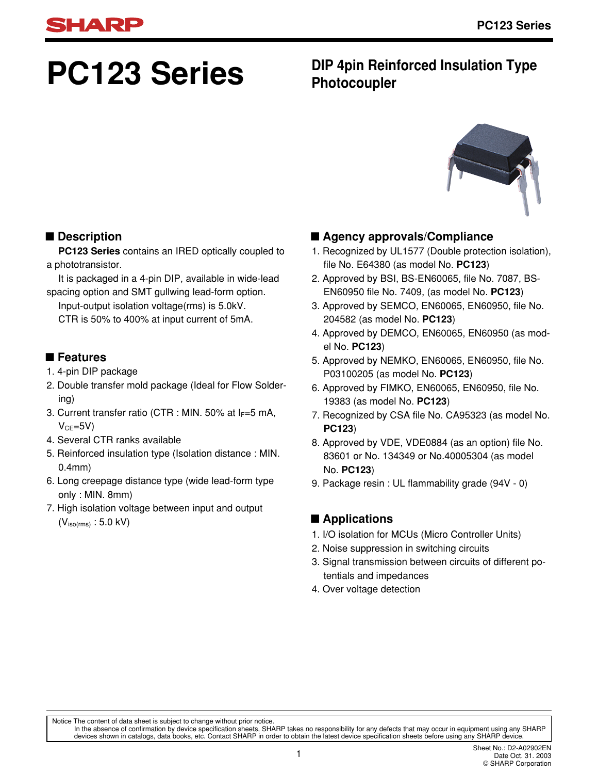# **PC123 Series**

# **DIP 4pin Reinforced Insulation Type Photocoupler**



# ■ **Description**

**PC123 Series** contains an IRED optically coupled to a phototransistor.

It is packaged in a 4-pin DIP, available in wide-lead spacing option and SMT gullwing lead-form option.

Input-output isolation voltage(rms) is 5.0kV. CTR is 50% to 400% at input current of 5mA.

# ■ **Features**

- 1. 4-pin DIP package
- 2. Double transfer mold package (Ideal for Flow Soldering)
- 3. Current transfer ratio (CTR : MIN. 50% at  $I_F=5$  mA,  $V_{CF} = 5V$
- 4. Several CTR ranks available
- 5. Reinforced insulation type (Isolation distance : MIN. 0.4mm)
- 6. Long creepage distance type (wide lead-form type only : MIN. 8mm)
- 7. High isolation voltage between input and output  $(V<sub>iso(rms)</sub> : 5.0 kV)$

# ■ **Agency approvals/Compliance**

- 1. Recognized by UL1577 (Double protection isolation), file No. E64380 (as model No. **PC123**)
- 2. Approved by BSI, BS-EN60065, file No. 7087, BS-EN60950 file No. 7409, (as model No. **PC123**)
- 3. Approved by SEMCO, EN60065, EN60950, file No. 204582 (as model No. **PC123**)
- 4. Approved by DEMCO, EN60065, EN60950 (as model No. **PC123**)
- 5. Approved by NEMKO, EN60065, EN60950, file No. P03100205 (as model No. **PC123**)
- 6. Approved by FIMKO, EN60065, EN60950, file No. 19383 (as model No. **PC123**)
- 7. Recognized by CSA file No. CA95323 (as model No. **PC123**)
- 8. Approved by VDE, VDE0884 (as an option) file No. 83601 or No. 134349 or No.40005304 (as model No. **PC123**)
- 9. Package resin : UL flammability grade (94V 0)

# ■ **Applications**

- 1. I/O isolation for MCUs (Micro Controller Units)
- 2. Noise suppression in switching circuits
- 3. Signal transmission between circuits of different potentials and impedances
- 4. Over voltage detection

In the absence of confirmation by device specification sheets, SHARP takes no responsibility for any defects that may occur in equipment using any SHARP<br>devices shown in catalogs, data books, etc. Contact SHARP in order to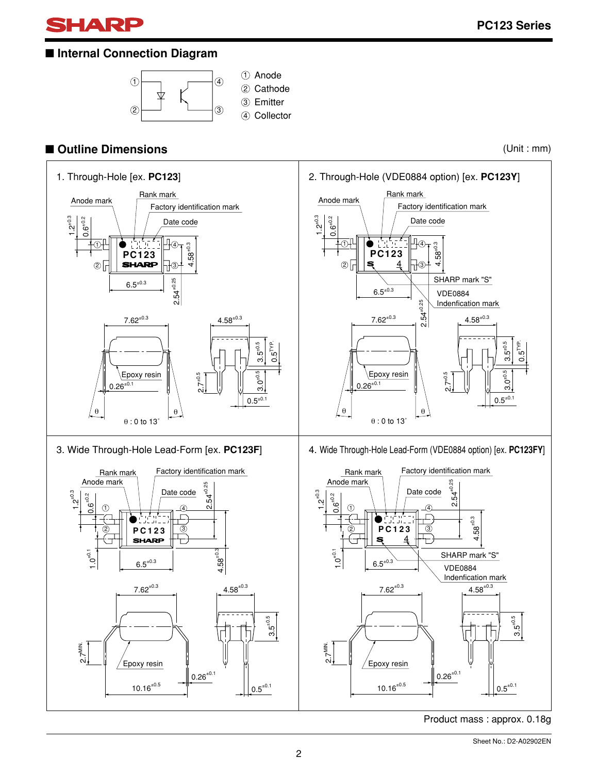

# ■ **Internal Connection Diagram**



# ■ Outline Dimensions (Unit : mm)



Product mass : approx. 0.18g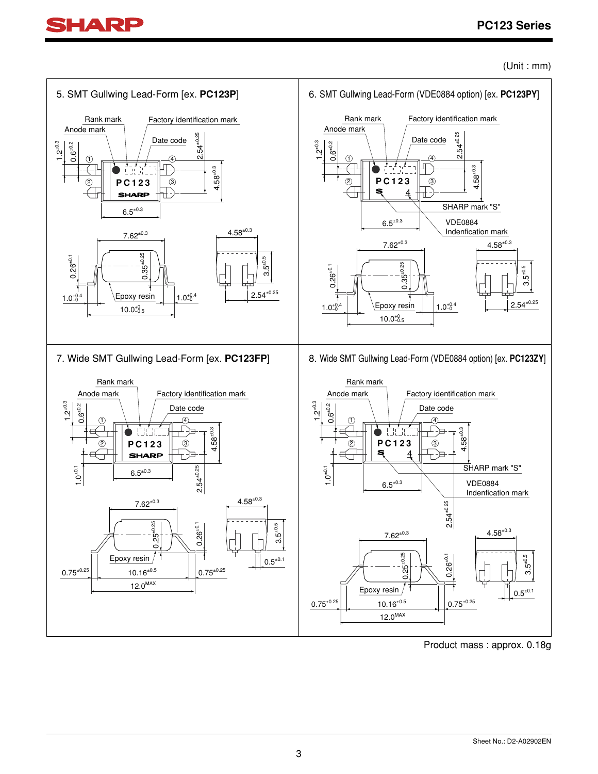



Product mass : approx. 0.18g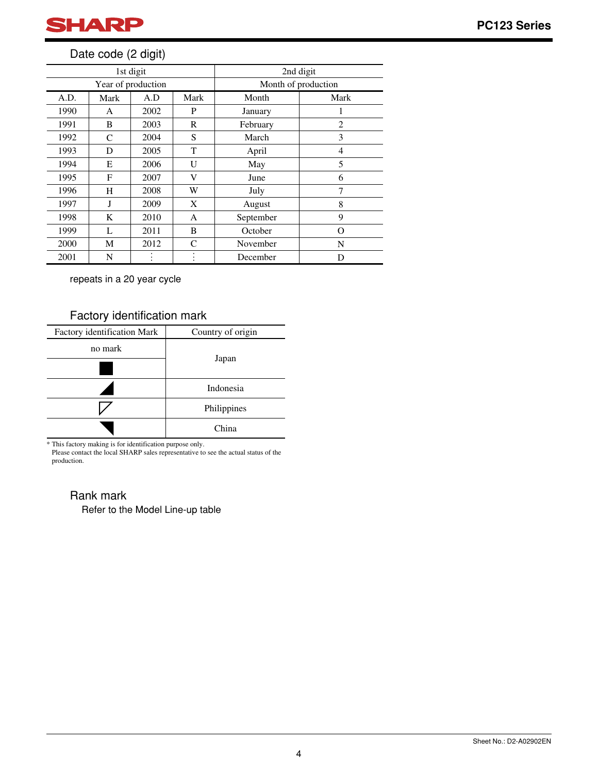

# Date code (2 digit)

|      |      | 1st digit          |           | 2nd digit           |                |  |
|------|------|--------------------|-----------|---------------------|----------------|--|
|      |      | Year of production |           | Month of production |                |  |
| A.D. | Mark | A.D                | Mark      | Month               | Mark           |  |
| 1990 | A    | 2002               | P         | January             | 1              |  |
| 1991 | B    | 2003               | R         | February            | $\overline{c}$ |  |
| 1992 | C    | 2004               | S         | March               | 3              |  |
| 1993 | D    | 2005               | T         | April               | 4              |  |
| 1994 | E    | 2006               | U         | May                 | 5              |  |
| 1995 | F    | 2007               | V         | June                | 6              |  |
| 1996 | H    | 2008               | W         | July                | 7              |  |
| 1997 | J    | 2009               | X         | August              | 8              |  |
| 1998 | K    | 2010               | A         | September           | 9              |  |
| 1999 | L    | 2011               | B         | October             | Ω              |  |
| 2000 | М    | 2012               | C         | November            | N              |  |
| 2001 | N    |                    | $\bullet$ | December            | D              |  |

repeats in a 20 year cycle

# Factory identification mark

| Factory identification Mark | Country of origin |
|-----------------------------|-------------------|
| no mark                     |                   |
|                             | Japan             |
|                             | Indonesia         |
|                             | Philippines       |
|                             | China             |

\* This factory making is for identification purpose only.

Please contact the local SHARP sales representative to see the actual status of the production.

# Rank mark

Refer to the Model Line-up table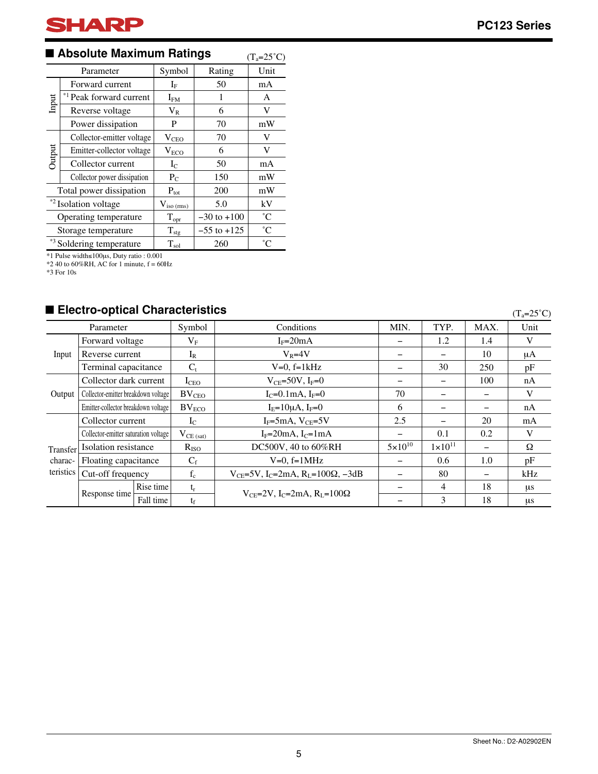# ■ Absolute Maximum Ratings (T<sub>a</sub>=25°C)

|                                  | Parameter                            | Symbol           | Rating          | Unit            |
|----------------------------------|--------------------------------------|------------------|-----------------|-----------------|
|                                  | Forward current                      | $I_{\rm F}$      | 50              | mA              |
| Input                            | * <sup>1</sup> Peak forward current  | $I_{FM}$         | 1               | A               |
|                                  | Reverse voltage                      | $V_{R}$          | 6               | V               |
|                                  | Power dissipation                    | P                | 70              | mW              |
|                                  | Collector-emitter voltage            | V <sub>CEO</sub> | 70              | V               |
| Output                           | Emitter-collector voltage            | $V_{ECO}$        | 6               | V               |
|                                  | Collector current                    | $I_{C}$          | 50              | mA              |
|                                  | Collector power dissipation          | $P_{C}$          | 150             | mW              |
|                                  | Total power dissipation              | $P_{\text{tot}}$ | 200             | mW              |
| * <sup>2</sup> Isolation voltage |                                      | $V_{iso (rms)}$  | 5.0             | kV              |
|                                  | Operating temperature                | $T_{\text{opr}}$ | $-30$ to $+100$ | $^{\circ}C$     |
|                                  | Storage temperature                  | $T_{\rm stg}$    | $-55$ to $+125$ | $\rm ^{\circ}C$ |
|                                  | * <sup>3</sup> Soldering temperature | $T_{sol}$        | 260             | $^{\circ}C$     |

\*1 Pulse width≤100µs, Duty ratio : 0.001

 $*240$  to 60%RH, AC for 1 minute,  $f = 60$ Hz

\*3 For 10s

#### ■ Electro-optical Characteristics

Parameter Symbol Conditions Forward voltage Reverse current Terminal capacitance Collector dark current Collector-emitter breakdown voltage Emitter-collector breakdown voltage Transfer characteristics Collector current Collector-emitter saturation voltage Isolation resistance Floating capacitance Cut-off frequency MIN. − − − − 70 6 2.5 −  $5 \times 10^{10}$ − − − − TYP. 1.2 − 30 − − − − 0.1  $1 \times 10^{11}$ 0.6 80 4 3 MAX. 1.4 10 250 100 − − 20 0.2 − 1.0 − 18 18 Unit V µA pF nA V nA mA V Ω pF kHz µs µs Symbol  $V_F$  $I_R$  $C_t$ ICEO  $BV_{\text{CEO}}$  $BV_{ECO}$  $I_{C}$  $V_{CE (sat)}$ RISO  $f_c$  $t_r$  $t_f$  $\mathbf{C}_\mathrm{f}$ Response time Rise time Fall time Input **Output**  $I_F=20mA$  $V_R = 4V$  $V=0$ ,  $f=1kHz$  $V_{CE}=50V, I_F=0$  $I_C=0.1$ mA,  $I_F=0$  $I_E=10\mu A, I_F=0$  $I_F$ =5mA,  $V_{CE}$ =5V  $I_F=20mA, I_C=1mA$  $V=0$ ,  $f=1$ MHz V<sub>CE</sub>=2V, I<sub>C</sub>=2mA, R<sub>L</sub>=100 $\Omega$ V<sub>CE</sub>=5V, I<sub>C</sub>=2mA, R<sub>L</sub>=100 $\Omega$ , -3dB DC500V, 40 to 60%RH  $(T_a=25^\circ C)$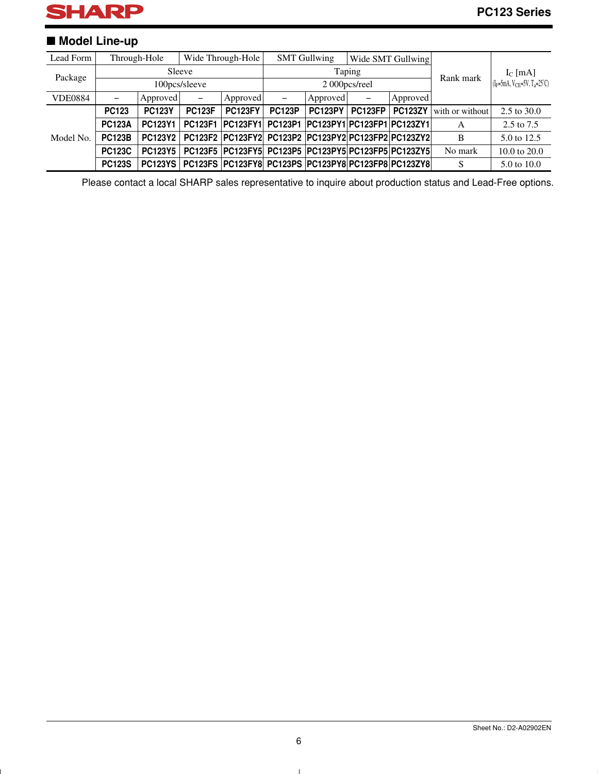

# ■ **Model Line-up**

| Lead Form      |                 | Through-Hole   |                              | Wide Through-Hole                                        |               | <b>SMT Gullwing</b>                |         | Wide SMT Gullwing |                 |                                         |
|----------------|-----------------|----------------|------------------------------|----------------------------------------------------------|---------------|------------------------------------|---------|-------------------|-----------------|-----------------------------------------|
| Package        | Sleeve          |                |                              | Taping                                                   |               |                                    |         | Rank mark         | $I_c$ [mA]      |                                         |
|                |                 |                | 100pcs/sleeve                |                                                          |               | 2000pcs/reel                       |         |                   |                 | $(I_F=5mA, V_{CE}=5V, T_a=25^{\circ}C)$ |
| <b>VDE0884</b> | $\qquad \qquad$ | Approved       | $\qquad \qquad \blacksquare$ | Approved                                                 | -             | Approved                           | -       | Approved          |                 |                                         |
|                | <b>PC123</b>    | <b>PC123Y</b>  | <b>PC123F</b>                | <b>PC123FY</b>                                           | <b>PC123P</b> | <b>PC123PY</b>                     | PC123FP | <b>PC123ZY</b>    | with or without | $2.5 \text{ to } 30.0$                  |
|                | <b>PC123A</b>   | <b>PC123Y1</b> | <b>PC123F1</b>               | <b>PC123FY1</b>                                          |               | PC123P1 PC123PY1 PC123FP1 PC123ZY1 |         |                   | A               | 2.5 to 7.5                              |
| Model No.      | <b>PC123B</b>   | <b>PC123Y2</b> |                              | PC123F2 PC123FY2 PC123P2 PC123PY2 PC123FP2 PC123ZY2      |               |                                    |         |                   | B               | 5.0 to 12.5                             |
|                | <b>PC123C</b>   | <b>PC123Y5</b> |                              | PC123F5  PC123FY5  PC123P5  PC123PY5  PC123FP5  PC123ZY5 |               |                                    |         |                   | No mark         | 10.0 to $20.0$                          |
|                | <b>PC123S</b>   | <b>PC123YS</b> |                              | PC123FS PC123FY8 PC123PS PC123PY8 PC123FP8 PC123ZY8      |               |                                    |         |                   | S               | 5.0 to 10.0                             |

Please contact a local SHARP sales representative to inquire about production status and Lead-Free options.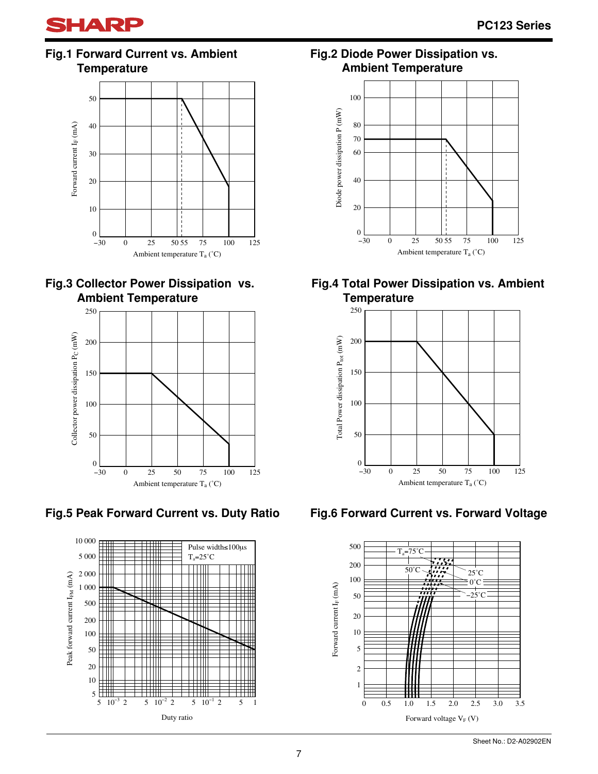

**Fig.1 Forward Current vs. Ambient Temperature**







**Fig.5 Peak Forward Current vs. Duty Ratio**



**Fig.2 Diode Power Dissipation vs. Ambient Temperature** 



# **Fig.4 Total Power Dissipation vs. Ambient Temperature**



**Fig.6 Forward Current vs. Forward Voltage**

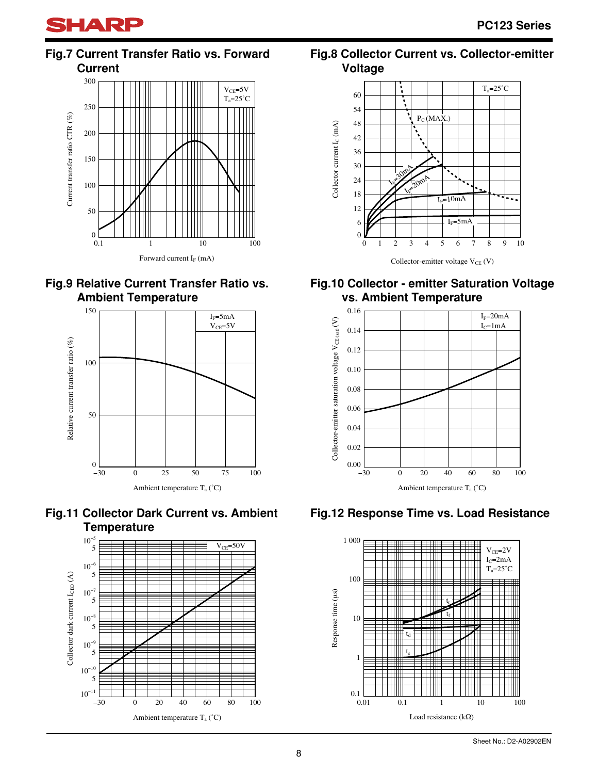

# **Fig.7 Current Transfer Ratio vs. Forward Current**











# **Fig.8 Collector Current vs. Collector-emitter Voltage**



# **Fig.10 Collector - emitter Saturation Voltage vs. Ambient Temperature**



# **Fig.12 Response Time vs. Load Resistance**

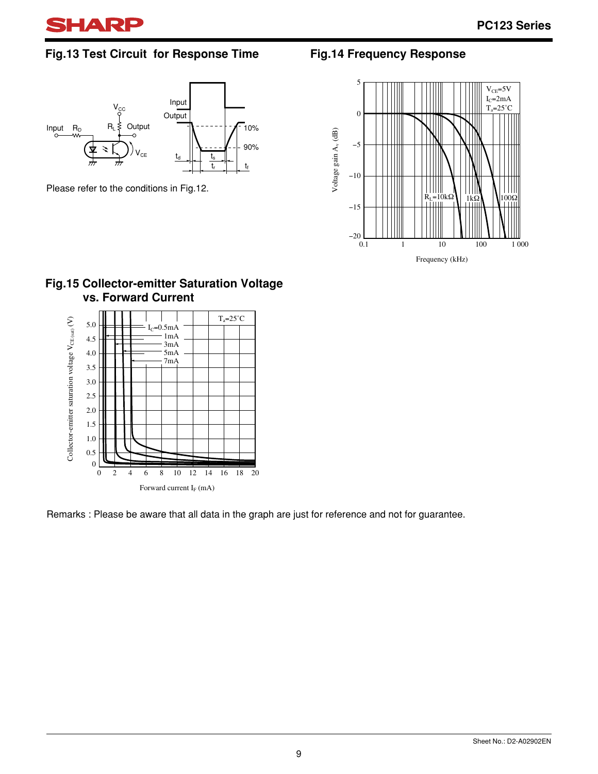

# **Fig.13 Test Circuit for Response Time**



Please refer to the conditions in Fig.12.

# **Fig.14 Frequency Response**



#### **Fig.15 Collector-emitter Saturation Voltage vs. Forward Current**



Remarks : Please be aware that all data in the graph are just for reference and not for guarantee.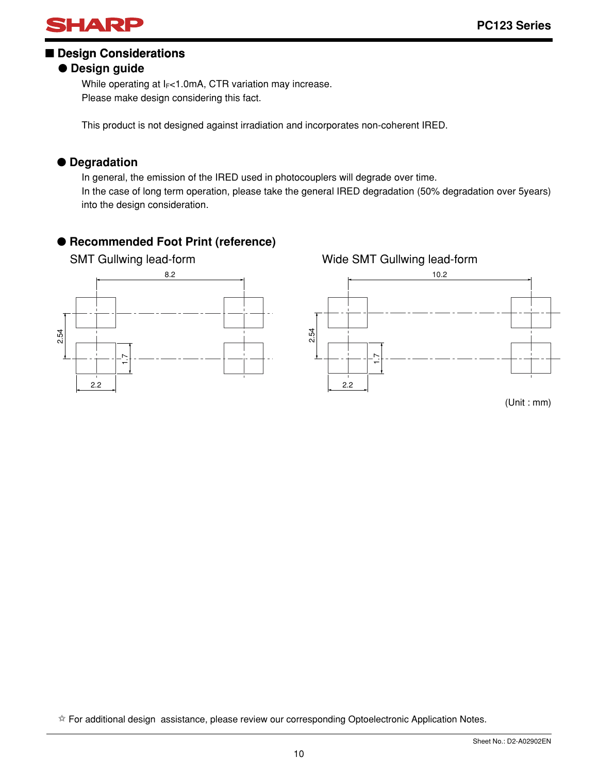

# ■ **Design Considerations**

# ● **Design guide**

While operating at  $I_F$ <1.0mA, CTR variation may increase. Please make design considering this fact.

This product is not designed against irradiation and incorporates non-coherent IRED.

# ● **Degradation**

In general, the emission of the IRED used in photocouplers will degrade over time. In the case of long term operation, please take the general IRED degradation (50% degradation over 5years) into the design consideration.

# ● **Recommended Foot Print (reference)**



✩ For additional design assistance, please review our corresponding Optoelectronic Application Notes.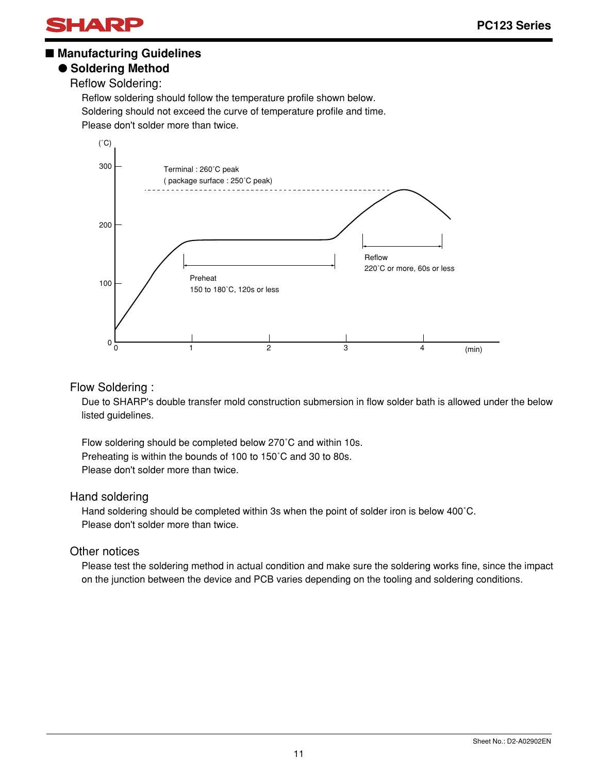

#### ■ Manufacturing Guidelines

#### ● **Soldering Method**

Reflow Soldering:

Reflow soldering should follow the temperature profile shown below. Soldering should not exceed the curve of temperature profile and time. Please don't solder more than twice.



#### Flow Soldering :

Due to SHARP's double transfer mold construction submersion in flow solder bath is allowed under the below listed guidelines.

Flow soldering should be completed below 270˚C and within 10s. Preheating is within the bounds of 100 to 150˚C and 30 to 80s. Please don't solder more than twice.

#### Hand soldering

Hand soldering should be completed within 3s when the point of solder iron is below 400˚C. Please don't solder more than twice.

#### Other notices

Please test the soldering method in actual condition and make sure the soldering works fine, since the impact on the junction between the device and PCB varies depending on the tooling and soldering conditions.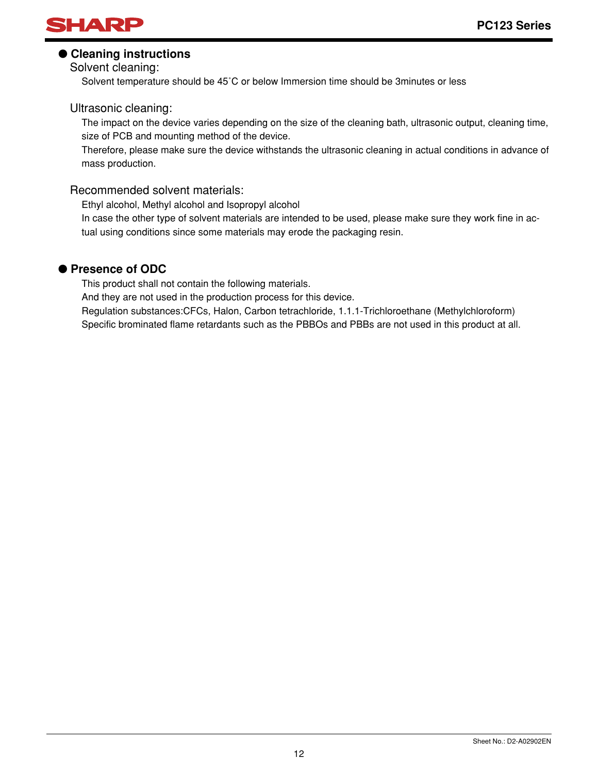

#### ● **Cleaning instructions**

Solvent cleaning:

Solvent temperature should be 45˚C or below Immersion time should be 3minutes or less

#### Ultrasonic cleaning:

The impact on the device varies depending on the size of the cleaning bath, ultrasonic output, cleaning time, size of PCB and mounting method of the device.

Therefore, please make sure the device withstands the ultrasonic cleaning in actual conditions in advance of mass production.

#### Recommended solvent materials:

Ethyl alcohol, Methyl alcohol and Isopropyl alcohol

In case the other type of solvent materials are intended to be used, please make sure they work fine in actual using conditions since some materials may erode the packaging resin.

#### ● **Presence of ODC**

This product shall not contain the following materials.

And they are not used in the production process for this device.

Regulation substances:CFCs, Halon, Carbon tetrachloride, 1.1.1-Trichloroethane (Methylchloroform) Specific brominated flame retardants such as the PBBOs and PBBs are not used in this product at all.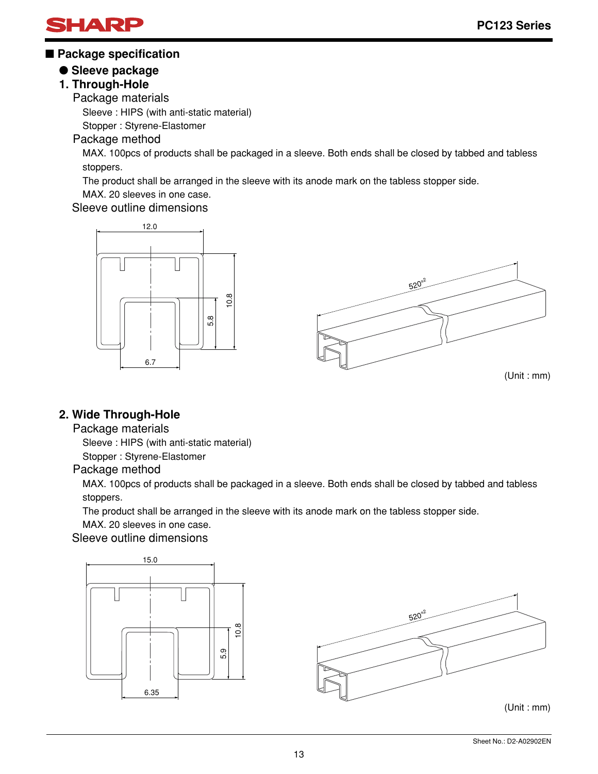

#### ■ **Package specification**

#### ● **Sleeve package**

# **1. Through-Hole**

Package materials

Sleeve : HIPS (with anti-static material)

Stopper : Styrene-Elastomer

#### Package method

MAX. 100pcs of products shall be packaged in a sleeve. Both ends shall be closed by tabbed and tabless stoppers.

The product shall be arranged in the sleeve with its anode mark on the tabless stopper side.

MAX. 20 sleeves in one case.

#### Sleeve outline dimensions



(Unit : mm)

#### **2. Wide Through-Hole**

#### Package materials

Sleeve : HIPS (with anti-static material)

Stopper : Styrene-Elastomer

#### Package method

MAX. 100pcs of products shall be packaged in a sleeve. Both ends shall be closed by tabbed and tabless stoppers.

The product shall be arranged in the sleeve with its anode mark on the tabless stopper side.

MAX. 20 sleeves in one case.

#### Sleeve outline dimensions

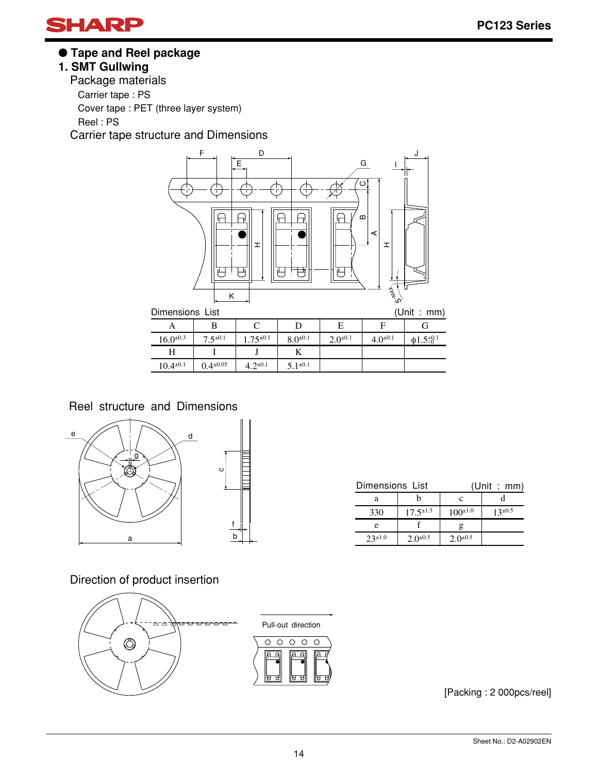

● **Tape and Reel package**

# **1. SMT Gullwing**

Package materials Carrier tape : PS Cover tape : PET (three layer system) Reel : PS Carrier tape structure and Dimensions



| DINENSIONS LIST  |                  |                 |                 |                 |                |                      |  |
|------------------|------------------|-----------------|-----------------|-----------------|----------------|----------------------|--|
|                  |                  |                 |                 | E               |                |                      |  |
| $16.0^{\pm 0.3}$ | $7.5^{\pm 0.1}$  | $1.75^{\pm0.1}$ | $8.0^{\pm 0.1}$ | $2.0^{\pm 0.1}$ | $4.0^{\pm0.1}$ | $\phi$ 1.5 $\pm$ 0.1 |  |
|                  |                  |                 |                 |                 |                |                      |  |
| $10.4^{\pm0.1}$  | $0.4^{\pm 0.05}$ | $4.2^{\pm 0.1}$ | $5.1^{\pm 0.1}$ |                 |                |                      |  |

Reel structure and Dimensions



| Dimensions List |                  | (Unit : mm)     |                |  |  |
|-----------------|------------------|-----------------|----------------|--|--|
| а               |                  | с               |                |  |  |
| 330             | $17.5^{\pm 1.5}$ | $100^{\pm 1.0}$ | $13^{\pm 0.5}$ |  |  |
| e               |                  |                 |                |  |  |
| $23^{\pm1.0}$   | $2.0^{\pm 0.5}$  | $2.0^{\pm 0.5}$ |                |  |  |

Direction of product insertion



[Packing : 2 000pcs/reel]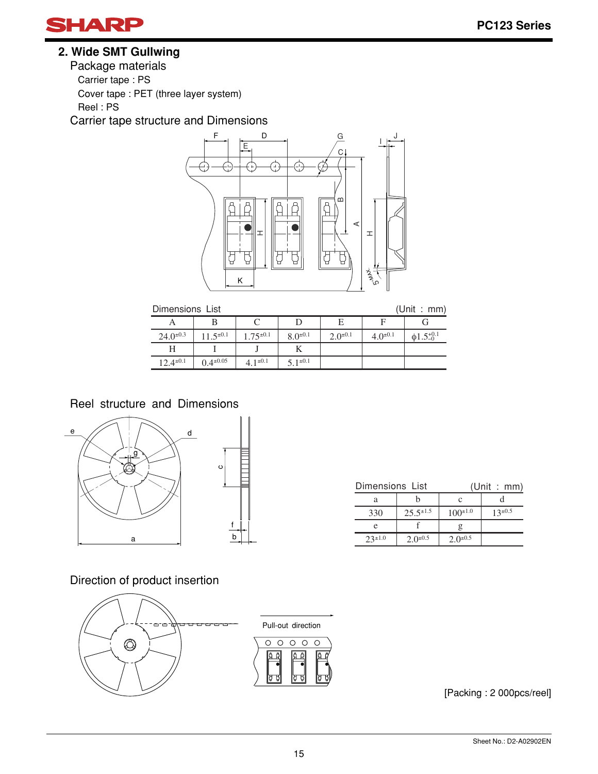

# **2. Wide SMT Gullwing**

Package materials Carrier tape : PS Cover tape : PET (three layer system) Reel : PS

Carrier tape structure and Dimensions



| (Unit: | mm) |
|--------|-----|
|        |     |

| (Unit : mm)<br>Dimensions List |                  |                 |                 |                 |                |                            |  |
|--------------------------------|------------------|-----------------|-----------------|-----------------|----------------|----------------------------|--|
|                                |                  |                 |                 | E               |                |                            |  |
| $24.0^{\pm 0.3}$               | $11.5^{\pm0.1}$  | $1.75^{\pm0.1}$ | $8.0^{\pm 0.1}$ | $2.0^{\pm 0.1}$ | $4.0^{\pm0.1}$ | $\phi$ 1.5 <sup>+0.1</sup> |  |
|                                |                  |                 |                 |                 |                |                            |  |
| $12.4^{\pm0.1}$                | $0.4^{\pm 0.05}$ | $4.1^{\pm 0.1}$ | $5.1^{\pm 0.1}$ |                 |                |                            |  |

Reel structure and Dimensions



| Dimensions List |                  | (Unit : mm)     |                |  |  |
|-----------------|------------------|-----------------|----------------|--|--|
| а               |                  |                 |                |  |  |
| 330             | $25.5^{\pm 1.5}$ | $100^{\pm 1.0}$ | $13^{\pm 0.5}$ |  |  |
| e               |                  |                 |                |  |  |
| $73 \pm 1.0$    | $2.0^{\pm 0.5}$  | $2.0^{\pm 0.5}$ |                |  |  |

Direction of product insertion



E<br>E<br>E

[Packing : 2 000pcs/reel]